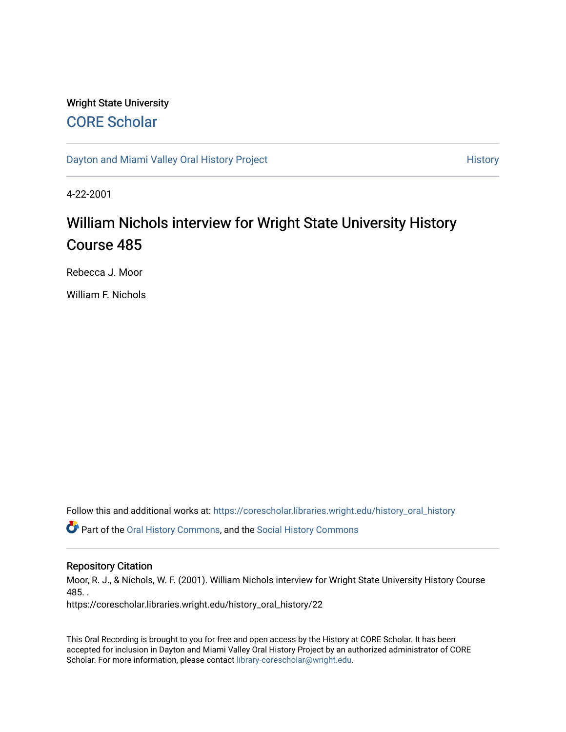### Wright State University [CORE Scholar](https://corescholar.libraries.wright.edu/)

[Dayton and Miami Valley Oral History Project](https://corescholar.libraries.wright.edu/history_oral_history) **History** History

4-22-2001

# William Nichols interview for Wright State University History Course 485

Rebecca J. Moor

William F. Nichols

Follow this and additional works at: [https://corescholar.libraries.wright.edu/history\\_oral\\_history](https://corescholar.libraries.wright.edu/history_oral_history?utm_source=corescholar.libraries.wright.edu%2Fhistory_oral_history%2F22&utm_medium=PDF&utm_campaign=PDFCoverPages) 

Part of the [Oral History Commons](http://network.bepress.com/hgg/discipline/1195?utm_source=corescholar.libraries.wright.edu%2Fhistory_oral_history%2F22&utm_medium=PDF&utm_campaign=PDFCoverPages), and the [Social History Commons](http://network.bepress.com/hgg/discipline/506?utm_source=corescholar.libraries.wright.edu%2Fhistory_oral_history%2F22&utm_medium=PDF&utm_campaign=PDFCoverPages)

#### Repository Citation

Moor, R. J., & Nichols, W. F. (2001). William Nichols interview for Wright State University History Course 485. .

https://corescholar.libraries.wright.edu/history\_oral\_history/22

This Oral Recording is brought to you for free and open access by the History at CORE Scholar. It has been accepted for inclusion in Dayton and Miami Valley Oral History Project by an authorized administrator of CORE Scholar. For more information, please contact [library-corescholar@wright.edu](mailto:library-corescholar@wright.edu).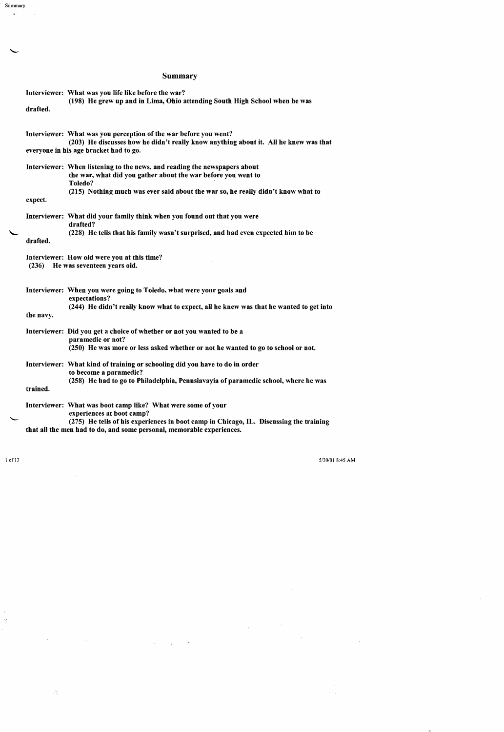## Summary

|                                                                                     | Interviewer: What was you life like before the war?<br>(198) He grew up and in Lima, Ohio attending South High School when he was                                                                                                                            |
|-------------------------------------------------------------------------------------|--------------------------------------------------------------------------------------------------------------------------------------------------------------------------------------------------------------------------------------------------------------|
| drafted.                                                                            |                                                                                                                                                                                                                                                              |
|                                                                                     | Interviewer: What was you perception of the war before you went?<br>(203) He discusses how he didn't really know anything about it. All he knew was that<br>everyone in his age bracket had to go.                                                           |
| expect.                                                                             | Interviewer: When listening to the news, and reading the newspapers about<br>the war, what did you gather about the war before you went to<br>Toledo?<br>(215) Nothing much was ever said about the war so, he really didn't know what to                    |
| drafted.                                                                            | Interviewer: What did your family think when you found out that you were<br>drafted?<br>(228) He tells that his family wasn't surprised, and had even expected him to be                                                                                     |
| Interviewer: How old were you at this time?<br>He was seventeen years old.<br>(236) |                                                                                                                                                                                                                                                              |
| the navy.                                                                           | Interviewer: When you were going to Toledo, what were your goals and<br>expectations?<br>(244) He didn't really know what to expect, all he knew was that he wanted to get into                                                                              |
|                                                                                     | Interviewer: Did you get a choice of whether or not you wanted to be a<br>paramedic or not?<br>(250) He was more or less asked whether or not he wanted to go to school or not.                                                                              |
| trained.                                                                            | Interviewer: What kind of training or schooling did you have to do in order<br>to become a paramedic?<br>(258) He had to go to Philadelphia, Pennslavayia of paramedic school, where he was                                                                  |
|                                                                                     | Interviewer: What was boot camp like? What were some of your<br>experiences at boot camp?<br>(275) He tells of his experiences in boot camp in Chicago, IL. Discussing the training<br>that all the men had to do, and some personal, memorable experiences. |
|                                                                                     |                                                                                                                                                                                                                                                              |

Summary

 $\mathbf{v}$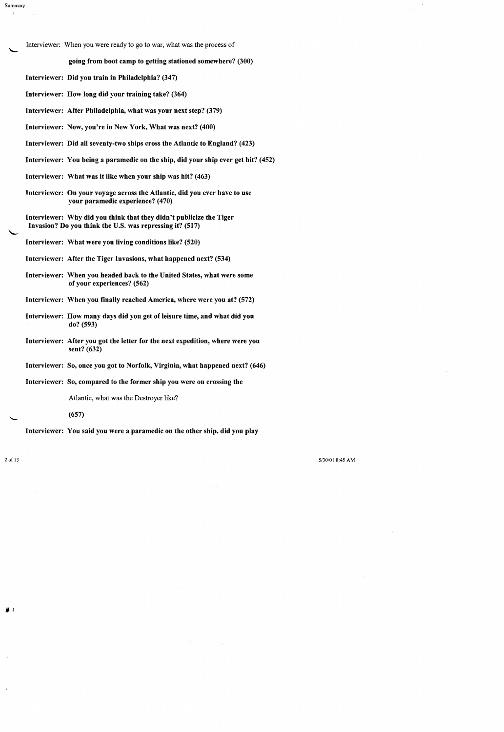Interviewer: When you were ready to go to war, what was the process of

#### going from boot camp to getting stationed somewhere? (300)

Interviewer: Did you train in Philadelphia? (347)

Interviewer: How long did your training take? (364)

Interviewer: After Philadelphia, what was your next step? (379)

Interviewer: Now, you're in New York, What was next? (400)

Interviewer: Did all seventy-two ships cross the Atlantic to England? (423)

Interviewer: You being a paramedic on the ship, did your ship ever get hit? (452)

Interviewer: What was it like when your ship was hit? (463)

Interviewer: On your voyage across the Atlantic, did you ever have to use your paramedic experience? (470)

Interviewer: Why did you think that they didn't publicize the Tiger Invasion? Do you think the U.S. was repressing it? (517)

Interviewer: What were you living conditions like? (520)

Interviewer: After the Tiger Invasions, what happened next? (534)

Interviewer: When you headed back to the United States, what were some of your experiences? (562)

Interviewer: When you finally reached America, where were you at? (572)

Interviewer: How many days did you get of leisure time, and what did you do? (593)

Interviewer: After you got the letter for the next expedition, where were you sent? (632)

Interviewer: So, once you got to Norfolk, Virginia, what happened next? (646)

Interviewer: So, compared to the former ship you were on crossing the

Atlantic, what was the Destroyer like?

(657)

Interviewer: You said you were a paramedic on the other ship, did you play

Summary

à.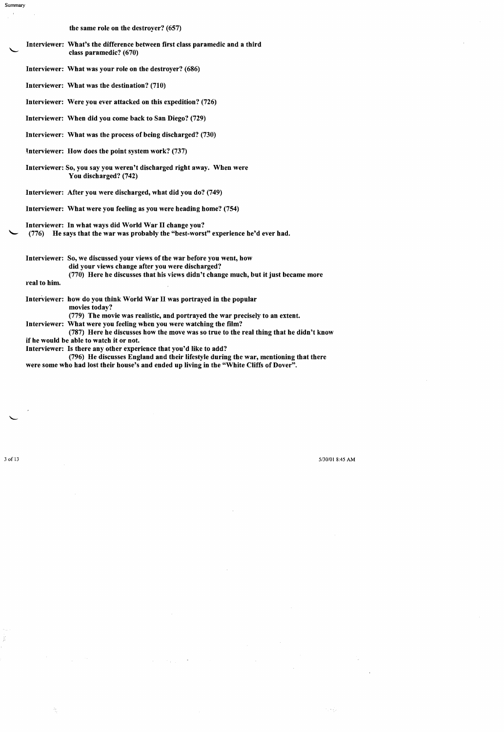the same role on the destroyer? (657)

Interviewer: What's the difference between first class paramedic and a third class paramedic? (670)

Interviewer: What was your role on the destroyer? (686)

Interviewer: What was the destination? (710)

Interviewer: Were you ever attacked on this expedition? (726)

Interviewer: When did you come back to San Diego? (729)

Interviewer: What was the process of being discharged? (730)

lnterviewer: How does the point system work? (737)

Interviewer: So, you say you weren't discharged right away. When were You discharged? (742)

Interviewer: After you were discharged, what did you do? (749)

Interviewer: What were you feeling as you were heading home? (754)

Interviewer: In what ways did World War II change you?

 $(776)$  He says that the war was probably the "best-worst" experience he'd ever had.

Interviewer: So, we discussed your views of the war before you went, how did your views change after you were discharged?  $(770)$  Here he discusses that his views didn't change much, but it just became more

real to him.

Summary

Interviewer: how do you think World War II was portrayed in the popular movies today?

(779) The movie was realistic, and portrayed the war precisely to an extent.

Interviewer: What were you feeling when you were watching the film?

(787) Here he discusses how the move was so true to the real thing that he didn't know if be would be able to watch it or not.

Interviewer: Is there any other experience that you'd like to add?

(796) He discusses England and their lifestyle during the war, mentioning that there were some who had lost their house's and ended up living in the "White Cliffs of Dover".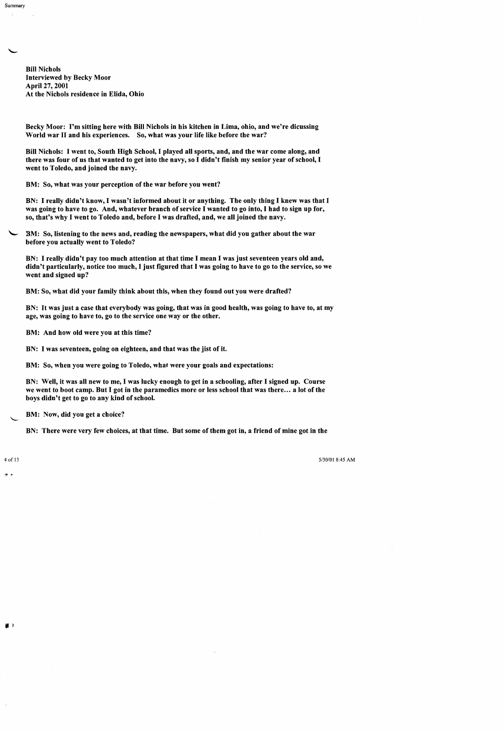Bill Nichols Interviewed by Becky Moor April27, 2001 At the Nichols residence in Elida, Ohio

Becky Moor: I'm sitting here with Bill Nichols in his kitchen in Lima, ohio, and we're dicussing World war II and his experiences. So, what was your life like before the war?

Bill Nichols: I went to, South High School, I played all sports, and, and the war come along, and there was four of us that wanted to get into the navy, so I didn't finish my senior year of school, I went to Toledo, and joined the navy.

BM: So, what was your perception of the war before you went?

BN: I really didn't know, I wasn't informed about it or anything. The only thing I knew was that I was going to have to go. And, whatever branch of service I wanted to go into, I had to sign up for, so, that's why I went to Toledo and, before I was drafted, and, we all joined the navy.

BM: So, listening to the news and, reading the newspapers, what did you gather about the war before you actually went to Toledo?

BN: I really didn't pay too much attention at that time I mean I was just seventeen years old and, didn't particularly, notice too much, I just figured that I was going to have to go to the service, so we went and signed up?

BM: So, what did your family think about this, when they found out you were drafted?

BN: It was just a case that everybody was going, that was in good health, was going to have to, at my age, was going to have to, go to the service one way or the other.

BM: And how old were you at this time?

BN: I was seventeen, going on eighteen, and that was the jist of it.

BM: So, when you were going to Toledo, what were your goals and expectations:

BN: Well, it was all new to me, I was lucky enough to get in a schooling, after I signed up. Course we went to boot camp. But I got in the paramedics more or less school that was there... a lot of the boys didn't get to go to any kind of school.

BM: Now, did you get a choice?

BN: There were very few choices, at that time. But some of them got in, a friend of mine got in the

"-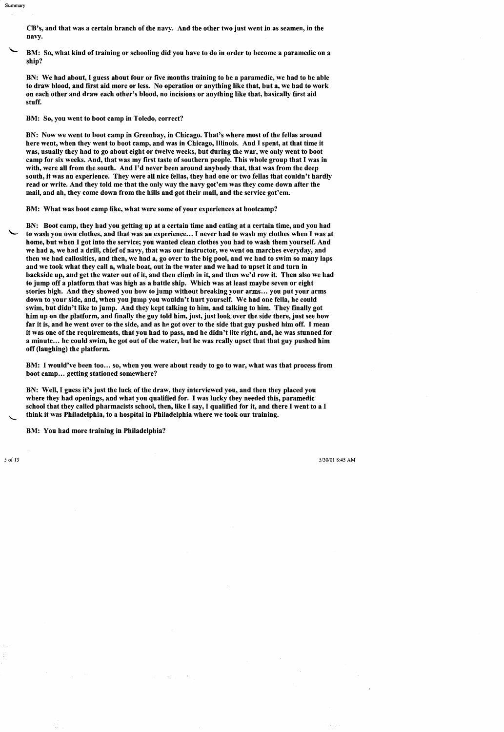CB's, and that was a certain branch of the navy. And the other two just went in as seamen, in the navy.

BM: So, what kind of training or schooling did you have to do in order to become a paramedic on a ship?

BN: We had about, I guess about four or five months training to be a paramedic, we had to be able to draw blood, and first aid more or less. No operation or anything like that, but a, we had to work on each other and draw each other's blood, no incisions or anything like that, basically first aid stuff.

BM: So, you went to boot camp in Toledo, correct?

BN: Now we went to boot camp in Greenbay, in Chicago. That's where most of the fellas around here went, when they went to boot camp, and was in Chicago, Illinois. And I spent, at that time it was, usually they had to go about eight or twelve weeks, but during the war, we only went to boot camp for six weeks. And, that was my first taste of southern people. This whole group that I was in with, were all from the south. And I'd never been around anybody that, that was from the deep south, it was an experience. They were all nice fellas, they had one or two fellas that couldn't hardly read or write. And they told me that the only way the navy got'em was they come down after the mail, and ah, they come down from the hills and got their mail, and the service got'em.

BM: What was boot camp like, what were some of your experiences at bootcamp?

BN: Boot camp, they had you getting up at a certain time and eating at a certain time, and you had to wash you own clothes, and that was an experience... I never had to wash my clothes when I was at home, but when I got into the service; you wanted clean clothes you had to wash them yourself. And we had a, we had a drill, chief of navy, that was our instructor, we went on marches everyday, and then we had callosities, and then, we had a, go over to the big pool, and we had to swim so many laps and we took what they call a, whale boat, out in the water and we had to upset it and turn in backside up, and get the water out of it, and then climb in it, and then we'd row it. Then also we had to jump off a platform that was high as a battle ship. Which was at least maybe seven or eight stories high. And they showed you how to jump without breaking your arms... you put your arms down to your side, and, when you jump you wouldn't hurt yourself. We had one fella, he could swim, but didn't like to jump. And they kept talking to him, and talking to him. They finally got him up on the platform, and finally the guy told him, just, just look over the side there, just see how far it is, and he went over to the side, and as he got over to the side that guy pushed him off. I mean it was one of the requirements, that you had to pass, and he didn't lite right, and, he was stunned for a minute... he could swim, he got out of the water, but he was really upset that that guy pushed him off (laughing) the platform.

BM: I would've been too... so, when you were about ready to go to war, what was that process from boot camp... getting stationed somewhere?

BN: Well, I guess it's just the luck of the draw, they interviewed you, and then they placed you where they had openings, and what you qualified for. I was lucky they needed this, paramedic school that they called pharmacists school, then, like I say, I qualified for it, and there I went to a I think it was Philadelphia, to a hospital in Philadelphia where we took our training.

BM: You had more training in Philadelphia?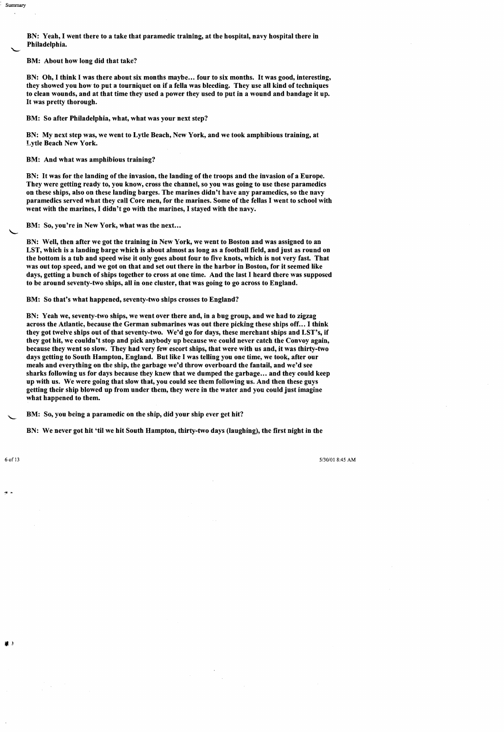BN: Yeah, I went there to a take that paramedic training, at the hospital, navy hospital there in Philadelphia.

BM: About how long did that take?

Summary

BN: Oh, I think I was there about six months maybe... four to six months. It was good, interesting, they showed you how to put a tourniquet on if a fella was bleeding. They use all kind of techniques to clean wounds, and at that time they used a power they used to put in a wound and bandage it up. It was pretty thorough.

BM: So after Philadelphia, what, what was your next step?

BN: My next step was, we went to Lytle Beach, New York, and we took amphibious training, at Lytle Beach New York.

BM: And what was amphibious training?

BN: It was for the landing of the invasion, the landing of the troops and the invasion of a Europe. They were getting ready to, you know, cross the channel, so you was going to use these paramedics on these ships, also on these landing barges. The marines didn't have any paramedics, so the navy paramedics served what they call Core men, for the marines. Some of the fellas I went to school with went with the marines, I didn't go with the marines, I stayed with the navy.

BM: So, you're in New York, what was the next...

BN: Well, then after we got the training in New York, we went to Boston and was assigned to an LST, which is a landing barge which is about almost as long as a football field, and just as round on the bottom is a tub and speed wise it only goes about four to five knots, which is not very fast. That was out top speed, and we got on that and set out there in the harbor in Boston, for it seemed like days, getting a bunch of ships together to cross at one time. And the last I heard there was supposed to be around seventy-two ships, all in one cluster, that was going to go across to England.

BM: So that's what happened, seventy-two ships crosses to England?

BN: Yeah we, seventy-two ships, we went over there and, in a bug group, and we had to zigzag across the Atlantic, because the German submarines was out there picking these ships off... I think they got twelve ships out of that seventy-two. We'd go for days, these merchant ships and LST's, if they got hit, we couldn't stop and pick anybody up because we could never catch the Convoy again, because they went so slow. They had very few escort ships, that were with us and, it was thirty-two days getting to South Hampton, England. But like I was telling you one time, we took, after our meals and everything on the ship, the garbage we'd throw overboard the fantail, and we'd see sharks following us for days because they knew that we dumped the garbage... and they could keep up with us. We were going that slow that, you could see them following us. And then these guys getting their ship blowed up from under them, they were in the water and you could just imagine what happened to them.

BM: So, you being a paramedic on the ship, did your ship ever get hit?

BN: We never got hit 'til we hit South Hampton, thirty-two days (laughing), the first night in the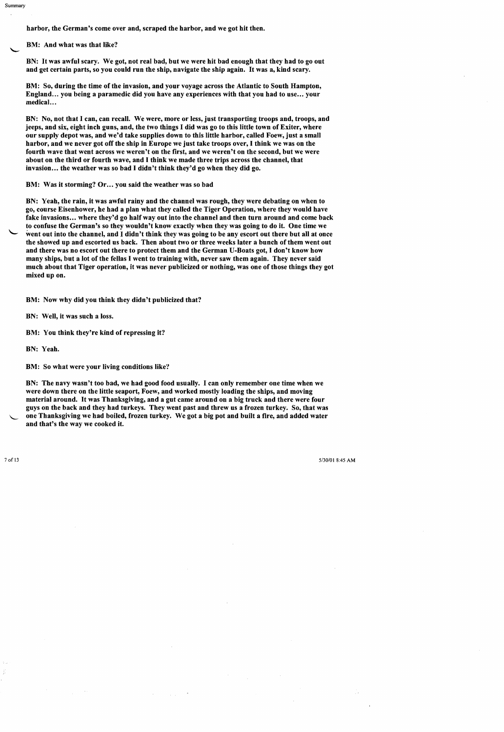harbor, the German's come over and, scraped the harbor, and we got hit then.

BM: And what was that like?

BN: It was awful scary. We got, not real bad, but we were hit bad enough that they had to go out and get certain parts, so you could run the ship, navigate the ship again. It was a, kind scary.

BM: So, during the time of the invasion, and your voyage across the Atlantic to South Hampton, England... you being a paramedic did you have any experiences with that you had to use... your medical. ..

BN: No, not that I can, can recall. We were, more or less, just transporting troops and, troops, and jeeps, and six, eight inch guns, and, the two things I did was go to this little town of Exiter, where our supply depot was, and we'd take supplies down to this little harbor, called Foew, just a small harbor, and we never got off the ship in Europe we just take troops over, I think we was on the fourth wave that went across we weren't on the first, and we weren't on the second, but we were about on the third or fourth wave, and I think we made three trips across the channel, that invasion... the weather was so bad I didn't think they'd go when they did go.

BM: Was it storming? Or... you said the weather was so bad

BN: Yeah, the rain, it was awful rainy and the channel was rough, they were debating on when to go, course Eisenhower, he had a plan what they called the Tiger Operation, where they would have fake invasions... where they'd go half way out into the channel and then turn around and come back to confuse the German's so they wouldn't know exactly when they was going to do it. One time we went out into the channel, and I didn't think they was going to be any escort out there but all at once the showed up and escorted us back. Then about two or three weeks later a bunch of them went out and there was no escort out there to protect them and the German U-Boats got, I don't know how many ships, but a lot of the fellas I went to training with, never saw them again. They never said much about that Tiger operation, it was never publicized or nothing, was one of those things they got mixed up on.

BM: Now why did you think they didn't publicized that?

BN: Well, it was such a loss.

BM: You think they're kind of repressing it?

BN: Yeah.

BM: So what were your living conditions like?

BN: The navy wasn't too bad, we had good food usually. I can only remember one time when we were down there on the little seaport, Foew, and worked mostly loading the ships, and moving material around. It was Thanksgiving, and a gut came around on a big truck and there were four guys on the back and they had turkeys. They went past and threw us a frozen turkey. So, that was one Thanksgiving we had boiled, frozen turkey. We got a big pot and built a fire, and added water and that's the way we cooked it.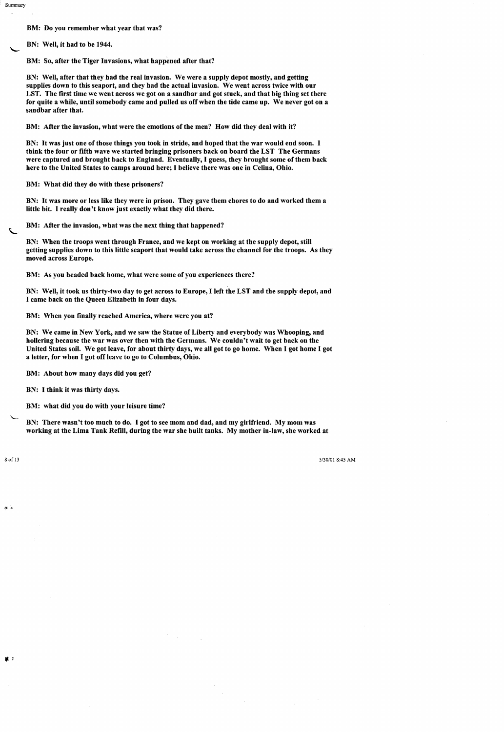BM: Do you remember what year that was?

BN: Well, it had to be 1944.

Summary

BM: So, after the Tiger Invasions, what happened after that?

BN: Well, after that they had the real invasion. We were a supply depot mostly, and getting supplies down to this seaport, and they had the actual invasion. We went across twice with our LST. The first time we went across we got on a sandbar and got stuck, and that big thing set there for quite a while, until somebody came and pulled us off when the tide came up. We never got on a sandbar after that.

BM: After the invasion, what were the emotions of the men? How did they deal with it?

BN: It was just one of those things you took in stride, and hoped that the war would end soon. I think the four or fifth wave we started bringing prisoners back on board the LST The Germans were captured and brought back to England. Eventually, I guess, they brought some of them back here to the United States to camps around here; I believe there was one in Celina, Ohio.

BM: What did they do with these prisoners?

BN: It was more or less like they were in prison. They gave them chores to do and worked them a little bit. I really don't know just exactly what they did there.

BM: After the invasion, what was the next thing that happened?

BN: When the troops went through France, and we kept on working at the supply depot, still getting supplies down to this little seaport that would take across the channel for the troops. As they moved across Europe.

BM: As you headed back home, what were some of you experiences there?

BN: Well, it took us thirty-two day to get across to Europe, I left the LST and the supply depot, and I came back on the Queen Elizabeth in four days.

BM: When you finally reached America, where were you at?

BN: We came in New York, and we saw the Statue of Liberty and everybody was Whooping, and hollering because the war was over then with the Germans. We couldn't wait to get back on the United States soil. We got leave, for about thirty days, we all got to go home. When I got home I got a letter, for when I got off leave to go to Columbus, Ohio.

BM: About how many days did you get?

BN: I think it was thirty days.

BM: what did you do with your leisure time?

BN: There wasn't too much to do. I got to see mom and dad, and my girlfriend. My mom was working at the Lima Tank Refill, during the war she built tanks. My mother in-law, she worked at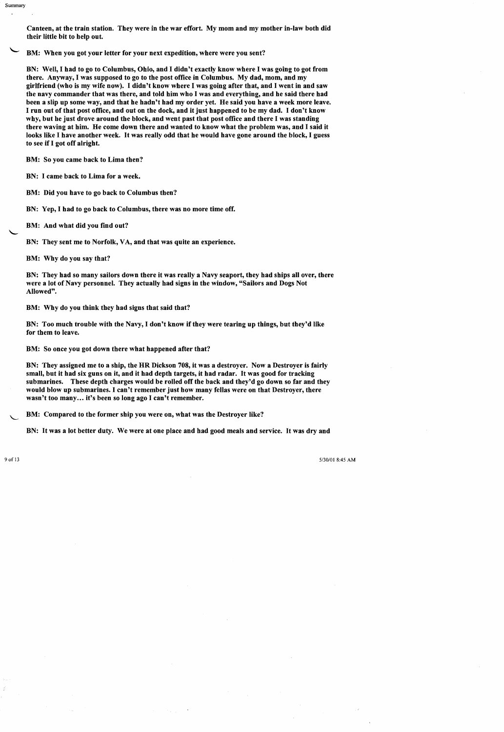Canteen, at the train station. They were in the war effort. My mom and my mother in-law both did their little bit to help out.

BM: When you got your letter for your next expedition, where were you sent?

BN: Well, I had to go to Columbus, Ohio, and I didn't exactly know where I was going to got from there. Anyway, I was supposed to go to the post office in Columbus. My dad, mom, and my girlfriend (who is my wife now). I didn't know where I was going after that, and I went in and saw the navy commander that was there, and told him who I was and everything, and he said there had been a slip up some way, and that he hadn't had my order yet. He said you have a week more leave. I run out of that post office, and out on the dock, and it just happened to be my dad. I don't know why, but he just drove around the block, and went past that post office and there I was standing there waving at him. He come down there and wanted to know what the problem was, and I said it looks like I have another week. It was really odd that he would have gone around the block, I guess to see if I got off alright.

BM: So you came back to Lima then?

BN: I came back to Lima for a week.

BM: Did you have to go back to Columbus then?

BN: Yep, I had to go back to Columbus, there was no more time off.

BM: And what did you find out?

BN: They sent me to Norfolk, VA, and that was quite an experience.

BM: Why do you say that?

BN: They had so many sailors down there it was really a Navy seaport, they had ships all over, there were a lot of Navy personnel. They actually had signs in the window, "Sailors and Dogs Not Allowed".

BM: Why do you think they had signs that said that?

BN: Too much trouble with the Navy, I don't know if they were tearing up things, but they'd like for them to leave.

BM: So once you got down there what happened after that?

BN: They assigned me to a ship, the HR Dickson 708, it was a destroyer. Now a Destroyer is fairly small, but it had six guns on it, and it had depth targets, it had radar. It was good for tracking submarines. These depth charges would be rolled off the back and they'd go down so far and they would blow up submarines. I can't remember just how many fellas were on that Destroyer, there wasn't too many... it's been so long ago I can't remember.

BM: Compared to the former ship you were on, what was the Destroyer like?

BN: It was a lot better duty. We were at one place and had good meals and service. It was dry and

Summary

 $\mathbf{r}$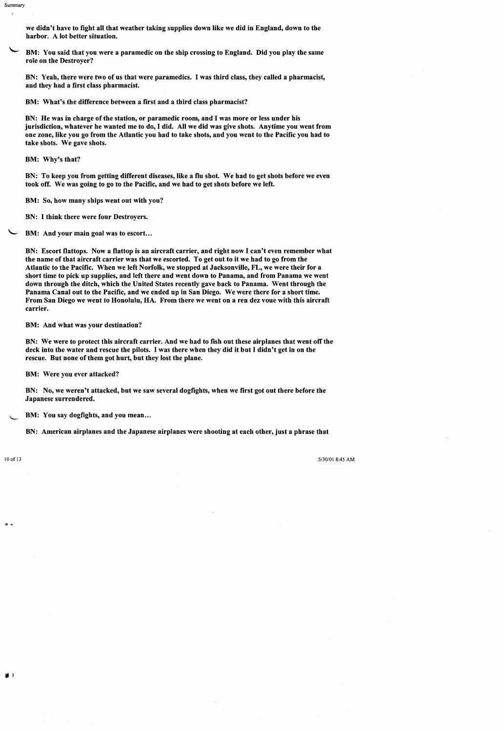we didn't have to fight all that weather taking supplies down like we did in England, down to the harbor. A lot better situation.

BM: You said that you were a paramedic on the ship crossing to England. Did you play the same role on the Destroyer?

BN: Yeah, there were two of us that were paramedics. I was third class, they called a pharmacist, and they had a first class pharmacist.

BM: What's the difference between a first and a third class pharmacist?

BN: He was in charge of the station, or paramedic room, and I was more or less under his jurisdiction, whatever he wanted me to do, I did. All we did was give shots. Anytime you went from one zone, like you go from the Atlantic you had to take shots, and you went to the Pacific you had to take shots. We gave shots.

BM: Why's that?

BN: To keep you from getting different diseases, like a flu shot. We had to get shots before we even took off. We was going to go to the Pacific, and we had to get shots before we left.

BM: So, how many ships went out with you?

BN: I think there were four Destroyers.

BM: And your main goal was to escort...

BN: Escort flattops. Now a flattop is an aircraft carrier, and right now I can't even remember what the name of that aircraft carrier was that we escorted. To get out to it we had to go from the Atlantic to the Pacific. When we left Norfolk, we stopped at Jacksonville, FL, we were their for a short time to pick up supplies, and left there and went down to Panama, and from Panama we went down through the ditch, which the United States recently gave back to Panama. Went through the Panama Canal out to the Pacific, and we ended up in San Diego. We were there for a short time. From San Diego we went to Honolulu, HA. From there we went on a ren dez voue with this aircraft carrier.

BM: And what was your destination?

BN: We were to protect this aircraft carrier. And we had to fish out these airplanes that went off the deck into the water and rescue the pilots. I was there when they did it but I didn't get in on the rescue. But none of them got hurt, but they lost the plane.

BM: Were you ever attacked?

BN: No, we weren't attacked, but we saw several dogfights, when we first got out there before the Japanese surrendered.

BM: You say dogfights, and you mean...

BN: American airplanes and the Japanese airplanes were shooting at each other, just a phrase that